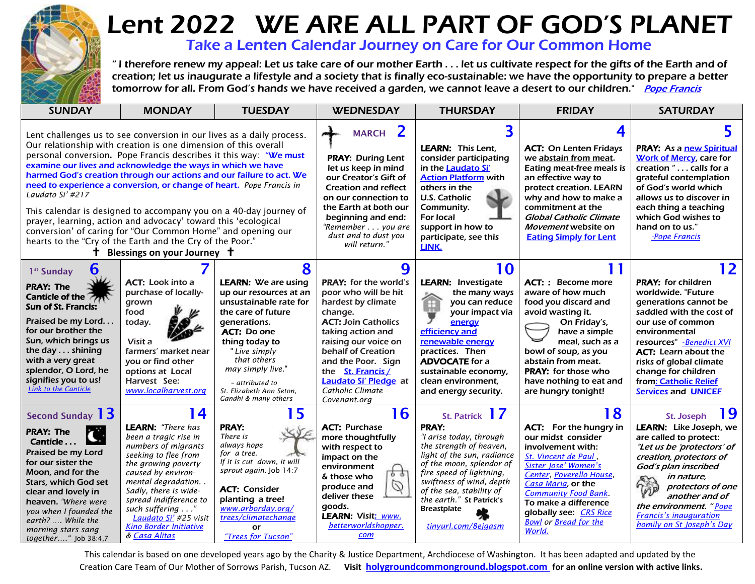

## Lent 2022 WE ARE ALL PART OF GOD'S PLANET

Take a Lenten Calendar Journey on Care for Our Common Home

 " I therefore renew my appeal: Let us take care of our mother Earth . . . let us cultivate respect for the gifts of the Earth and of creation; let us inaugurate a lifestyle and a society that is finally eco-sustainable: we have the opportunity to prepare a better tromorrow for all. From God's hands we have received a garden, we cannot leave a desert to our children." *[Pope Francis](https://www.vatican.va/content/francesco/en/messages/pont-messages/2021/documents/papa-francesco_20210525_videomessaggio-laudatosi.html)*<br>tomorrow for all. From God's hands we have received a garden, we cannot leave a desert to our childre

| <b>SUNDAY</b>                                                                                                                                                                                                                                                                                                                                                                                                                                                                                                                                                                                                                                                                                                                                                      | <b>MONDAY</b>                                                                                                                                                                                                                                                                                                        | <b>TUESDAY</b>                                                                                                                                                                                                                                                                               | <b>WEDNESDAY</b>                                                                                                                                                                                                                                                                                           | <b>THURSDAY</b>                                                                                                                                                                                                                                                                                             | <b>FRIDAY</b>                                                                                                                                                                                                                                                                                            | <b>SATURDAY</b>                                                                                                                                                                                                                                                                                                      |
|--------------------------------------------------------------------------------------------------------------------------------------------------------------------------------------------------------------------------------------------------------------------------------------------------------------------------------------------------------------------------------------------------------------------------------------------------------------------------------------------------------------------------------------------------------------------------------------------------------------------------------------------------------------------------------------------------------------------------------------------------------------------|----------------------------------------------------------------------------------------------------------------------------------------------------------------------------------------------------------------------------------------------------------------------------------------------------------------------|----------------------------------------------------------------------------------------------------------------------------------------------------------------------------------------------------------------------------------------------------------------------------------------------|------------------------------------------------------------------------------------------------------------------------------------------------------------------------------------------------------------------------------------------------------------------------------------------------------------|-------------------------------------------------------------------------------------------------------------------------------------------------------------------------------------------------------------------------------------------------------------------------------------------------------------|----------------------------------------------------------------------------------------------------------------------------------------------------------------------------------------------------------------------------------------------------------------------------------------------------------|----------------------------------------------------------------------------------------------------------------------------------------------------------------------------------------------------------------------------------------------------------------------------------------------------------------------|
| Lent challenges us to see conversion in our lives as a daily process.<br>Our relationship with creation is one dimension of this overall<br>personal conversion. Pope Francis describes it this way: "We must<br>examine our lives and acknowledge the ways in which we have<br>harmed God's creation through our actions and our failure to act. We<br>need to experience a conversion, or change of heart. Pope Francis in<br>Laudato Si' #217<br>This calendar is designed to accompany you on a 40-day journey of<br>prayer, learning, action and advocacy' toward this 'ecological<br>conversion' of caring for "Our Common Home" and opening our<br>hearts to the "Cry of the Earth and the Cry of the Poor."<br><b>†</b> Blessings on your Journey <b>†</b> |                                                                                                                                                                                                                                                                                                                      |                                                                                                                                                                                                                                                                                              | 2<br><b>MARCH</b><br><b>PRAY: During Lent</b><br>let us keep in mind<br>our Creator's Gift of<br><b>Creation and reflect</b><br>on our connection to<br>the Earth at both our<br>beginning and end:<br>"Remember you are<br>dust and to dust you<br>will return."                                          | <b>LEARN: This Lent.</b><br>consider participating<br>in the Laudato Si'<br><b>Action Platform with</b><br>others in the<br>U.S. Catholic<br>Community.<br>For local<br>support in how to<br>participate, see this<br>LINK.                                                                                 | <b>ACT: On Lenten Fridays</b><br>we abstain from meat.<br>Eating meat-free meals is<br>an effective way to<br>protect creation. LEARN<br>why and how to make a<br>commitment at the<br>Global Catholic Climate<br>Movement website on<br><b>Eating Simply for Lent</b>                                   | <b>PRAY:</b> As a new Spiritual<br>Work of Mercy, care for<br>creation " calls for a<br>grateful contemplation<br>of God's world which<br>allows us to discover in<br>each thing a teaching<br>which God wishes to<br>hand on to us."<br>-Pope Francis                                                               |
| 6<br>1 <sup>st</sup> Sunday<br><b>PRAY: The</b><br>Canticle of the <b>271</b><br><b>Sun of St. Francis:</b><br>Praised be my Lord<br>for our brother the<br>Sun, which brings us<br>the day shining<br>with a very great<br>splendor, O Lord, he<br>signifies you to us!<br><b>Link to the Canticle</b>                                                                                                                                                                                                                                                                                                                                                                                                                                                            | <b>ACT:</b> Look into a<br>purchase of locally-<br>grown<br>food<br>today.<br>Visit a<br>farmers' market near<br>you or find other<br>options at Local<br>Harvest See:<br>www.localharvest.org                                                                                                                       | 8<br><b>LEARN: We are using</b><br>up our resources at an<br>unsustainable rate for<br>the care of future<br>generations.<br><b>ACT: Do one</b><br>thing today to<br>"Live simply<br>that others<br>may simply live."<br>- attributed to<br>St. Elizabeth Ann Seton,<br>Gandhi & many others | 9<br><b>PRAY:</b> for the world's<br>poor who will be hit<br>hardest by climate<br>change.<br><b>ACT: Join Catholics</b><br>taking action and<br>raising our voice on<br>behalf of Creation<br>and the Poor. Sign<br>the St. Francis /<br><b>Laudato Si' Pledge</b> at<br>Catholic Climate<br>Covenant.org | 10<br><b>LEARN: Investigate</b><br>the many ways<br>Â<br>you can reduce<br>your impact via<br>energy<br>efficiency and<br>renewable energy<br>practices. Then<br><b>ADVOCATE</b> for a<br>sustainable economy,<br>clean environment,<br>and energy security.                                                | 11<br><b>ACT:</b> : Become more<br>aware of how much<br>food you discard and<br>avoid wasting it.<br>On Friday's,<br>have a simple<br>meal, such as a<br>bowl of soup, as you<br>abstain from meat.<br>PRAY: for those who<br>have nothing to eat and<br>are hungry tonight!                             | 12<br><b>PRAY:</b> for children<br>worldwide. "Future<br>generations cannot be<br>saddled with the cost of<br>our use of common<br>environmental<br>resources" -Benedict XVI<br><b>ACT:</b> Learn about the<br>risks of global climate<br>change for children<br>from: Catholic Relief<br><b>Services and UNICEF</b> |
| Second Sunday 13<br><b>PRAY: The</b><br>Canticle<br>Praised be my Lord<br>for our sister the<br>Moon, and for the<br><b>Stars, which God set</b><br>clear and lovely in<br>heaven. "Where were<br>you when I founded the<br>earth?  While the<br>morning stars sang<br>together" Job 38:4,7                                                                                                                                                                                                                                                                                                                                                                                                                                                                        | 14<br><b>LEARN:</b> "There has<br>been a tragic rise in<br>numbers of migrants<br>seeking to flee from<br>the growing poverty<br>caused by environ-<br>mental degradation.<br>Sadly, there is wide-<br>spread indifference to<br>such suffering"<br>Laudato Si' #25 visit<br>Kino Border Initiative<br>& Casa Alitas | 15<br><b>PRAY:</b><br>There is<br>always hope<br>for a tree.<br>If it is cut down, it will<br>sprout again. Job 14:7<br><b>ACT: Consider</b><br>planting a tree!<br>www.arborday.org/<br>trees/climatechange<br>or<br>"Trees for Tucson"                                                     | 16<br><b>ACT: Purchase</b><br>more thoughtfully<br>with respect to<br>impact on the<br>environment<br>55<br>& those who<br>Ø<br>produce and<br>deliver these<br>goods.<br><b>LEARN: Visit: www.</b><br>betterworldshopper.<br>com                                                                          | St. Patrick 17<br><b>PRAY:</b><br>"I arise today, through<br>the strength of heaven,<br>light of the sun, radiance<br>of the moon, splendor of<br>fire speed of lightning,<br>swiftness of wind, depth<br>of the sea, stability of<br>the earth." St Patrick's<br><b>Breastplate</b><br>tinyurl.com/8ejgasm | 18<br><b>ACT:</b> For the hungry in<br>our midst consider<br>involvement with:<br>St. Vincent de Paul<br>Sister Jose' Women's<br>Center, Poverello House,<br>Casa Maria, or the<br><b>Community Food Bank</b><br>To make a difference<br>globally see CRS Rice<br><b>Bowl or Bread for the</b><br>World. | 19<br>St. Joseph<br><b>LEARN:</b> Like Joseph, we<br>are called to protect:<br>"Let us be 'protectors' of<br>creation, protectors of<br>God's plan inscribed<br>in nature,<br>へん<br>protectors of one<br>another and of<br>the environment. "Pope<br><b>Francis's inauguration</b><br>homily on St Joseph's Day      |

This calendar is based on one developed years ago by the Charity & Justice Department, Archdiocese of Washington. It has been adapted and updated by the Creation Care Team of Our Mother of Sorrows Parish, Tucson AZ. **Visit [holygroundcommonground.blogspot.com](http://holygroundcommonground.blogspot.com/) for an online version with active links.**